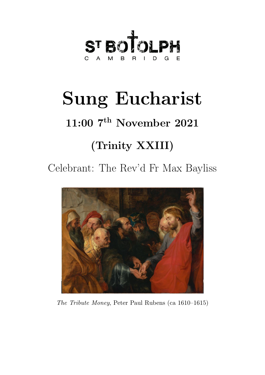

# Sung Eucharist

## 11:00 7<sup>th</sup> November 2021

## (Trinity XXIII)

Celebrant: The Rev'd Fr Max Bayliss



The Tribute Money, Peter Paul Rubens (ca 1610–1615)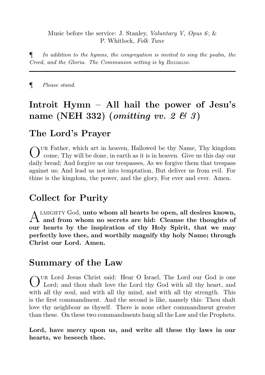#### Music before the service: J. Stanley, *Voluntary V, Opus 6*;  $\&$ P. Whitlock, Folk Tune

 $\P$  In addition to the hymns, the congregation is invited to sing the psalm, the Creed, and the Gloria. The Communion setting is by Bozzazzo.

¶ Please stand.

## Introit Hymn – All hail the power of Jesu's name (NEH 332) (*omitting vv. 2*  $\mathcal{B}$  *3*)

#### The Lord's Prayer

OUR Father, which art in heaven, Hallowed be thy Name, Thy kingdom<br>come, Thy will be done, in earth as it is in heaven. Give us this day our ur Father, which art in heaven, Hallowed be thy Name, Thy kingdom daily bread; And forgive us our trespasses, As we forgive them that trespass against us; And lead us not into temptation, But deliver us from evil. For thine is the kingdom, the power, and the glory, For ever and ever. Amen.

#### Collect for Purity

A LMIGHTY God, unto whom all hearts be open, all desires known,<br>A and from whom no secrets are hid: Cleanse the thoughts of  $\Lambda$  LMIGHTY God, unto whom all hearts be open, all desires known, our hearts by the inspiration of thy Holy Spirit, that we may perfectly love thee, and worthily magnify thy holy Name; through Christ our Lord. Amen.

#### Summary of the Law

O ur Lord Jesus Christ said: Hear O Israel, The Lord our God is one Lord; and thou shalt love the Lord thy God with all thy heart, and with all thy soul, and with all thy mind, and with all thy strength. This is the first commandment. And the second is like, namely this: Thou shalt love thy neighbour as thyself. There is none other commandment greater than these. On these two commandments hang all the Law and the Prophets.

Lord, have mercy upon us, and write all these thy laws in our hearts, we beseech thee.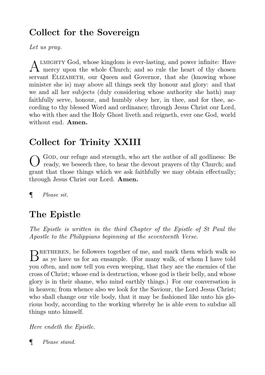## Collect for the Sovereign

Let us pray.

A LMIGHTY God, whose kingdom is ever-lasting, and power infinite: Have<br>mercy upon the whole Church; and so rule the heart of thy chosen LMIGHTY God, whose kingdom is ever-lasting, and power infinite: Have servant ELIZABETH, our Queen and Governor, that she (knowing whose minister she is) may above all things seek thy honour and glory: and that we and all her subjects (duly considering whose authority she hath) may faithfully serve, honour, and humbly obey her, in thee, and for thee, according to thy blessed Word and ordinance; through Jesus Christ our Lord, who with thee and the Holy Ghost liveth and reigneth, ever one God, world without end. Amen.

## Collect for Trinity XXIII

O GOD, our refuge and strength, who art the author of all godliness: Be ready, we beseech thee, to hear the devout prayers of thy Church; and grant that those things which we ask faithfully we may obtain effectually; through Jesus Christ our Lord. Amen.

¶ Please sit.

## The Epistle

The Epistle is written in the third Chapter of the Epistle of St Paul the Apostle to the Philippians beginning at the seventeenth Verse.

 $\rm B$  RETHEREN, be followers together of me, and mark them which walk so as ye have us for an ensample. (For many walk, of whom I have told as ye have us for an ensample. (For many walk, of whom I have told you often, and now tell you even weeping, that they are the enemies of the cross of Christ; whose end is destruction, whose god is their belly, and whose glory is in their shame, who mind earthly things.) For our conversation is in heaven; from whence also we look for the Saviour, the Lord Jesus Christ; who shall change our vile body, that it may be fashioned like unto his glorious body, according to the working whereby he is able even to subdue all things unto himself.

Here endeth the Epistle.

¶ Please stand.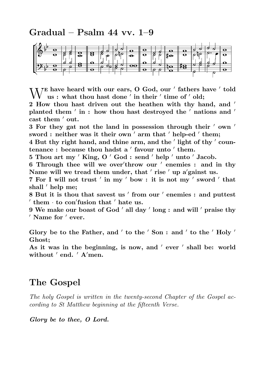Gradual – Psalm 44 vv. 1–9



 $\bigvee$ <sup>E</sup> have heard with our ears, O God, our ' fathers have ' told us : what thou hast done ' in their ' time of ' old; us : what thou hast done ' in their ' time of ' old;

2 How thou hast driven out the heathen with thy hand, and ' planted them  $'$  in : how thou hast destroyed the  $'$  nations and  $'$ cast them ' out.

3 For they gat not the land in possession through their  $\prime$  own  $\prime$ sword : neither was it their own  $^\prime$  arm that  $^\prime$  help-ed  $^\prime$  them;

4 But thy right hand, and thine arm, and the ' light of thy ' coun $t$ enance : because thou hadst a ' favour unto ' them.

5 Thou art my  $'$  King, O  $'$  God : send  $'$  help  $'$  unto  $'$  Jacob.

6 Through thee will we over'throw our ' enemies : and in thy Name will we tread them under, that ' rise ' up a'gainst us.

7 For I will not trust ' in my ' bow : it is not my ' sword ' that shall ' help me;

8 But it is thou that savest us ' from our ' enemies : and puttest  $'$  them  $\cdot$  to con'fusion that  $'$  hate us.

 $9$  We make our boast of God  $'$  all day  $'$  long  $:$  and will  $'$  praise thy  $\prime$  Name for  $\prime$  ever.

Glory be to the Father, and  $'$  to the  $'$  Son : and  $'$  to the  $'$  Holy  $'$ Ghost;

As it was in the beginning, is now, and ' ever ' shall be: world without ' end. ' A'men.

#### The Gospel

The holy Gospel is written in the twenty-second Chapter of the Gospel according to St Matthew beginning at the fifteenth Verse.

Glory be to thee, O Lord.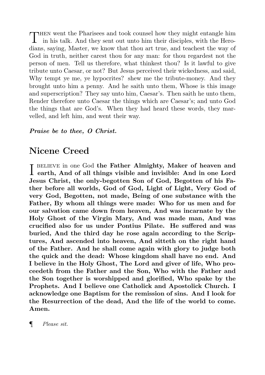THEN went the Pharisees and took counsel how they might entangle him<br>in his talk. And they sent out unto him their disciples, with the Heroin his talk. And they sent out unto him their disciples, with the Herodians, saying, Master, we know that thou art true, and teachest the way of God in truth, neither carest thou for any man: for thou regardest not the person of men. Tell us therefore, what thinkest thou? Is it lawful to give tribute unto Caesar, or not? But Jesus perceived their wickedness, and said, Why tempt ye me, ye hypocrites? shew me the tribute-money. And they brought unto him a penny. And he saith unto them, Whose is this image and superscription? They say unto him, Caesar's. Then saith he unto them, Render therefore unto Caesar the things which are Caesar's; and unto God the things that are God's. When they had heard these words, they marvelled, and left him, and went their way.

#### Praise be to thee, O Christ.

#### Nicene Creed

I BELIEVE in one God the Father Almighty, Maker of heaven and earth, And of all things visible and invisible: And in one Lord earth, And of all things visible and invisible: And in one Lord Jesus Christ, the only-begotten Son of God, Begotten of his Father before all worlds, God of God, Light of Light, Very God of very God, Begotten, not made, Being of one substance with the Father, By whom all things were made: Who for us men and for our salvation came down from heaven, And was incarnate by the Holy Ghost of the Virgin Mary, And was made man, And was crucified also for us under Pontius Pilate. He suffered and was buried, And the third day he rose again according to the Scriptures, And ascended into heaven, And sitteth on the right hand of the Father. And he shall come again with glory to judge both the quick and the dead: Whose kingdom shall have no end. And I believe in the Holy Ghost, The Lord and giver of life, Who proceedeth from the Father and the Son, Who with the Father and the Son together is worshipped and glorified, Who spake by the Prophets. And I believe one Catholick and Apostolick Church. I acknowledge one Baptism for the remission of sins. And I look for the Resurrection of the dead, And the life of the world to come. Amen.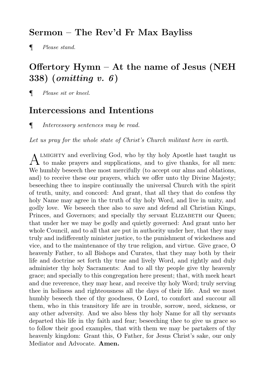#### Sermon – The Rev'd Fr Max Bayliss

¶ Please stand.

## Offertory Hymn – At the name of Jesus (NEH 338) (omitting v. 6)

¶ Please sit or kneel.

#### Intercessions and Intentions

¶ Intercessory sentences may be read.

Let us pray for the whole state of Christ's Church militant here in earth.

A LMIGHTY and everliving God, who by thy holy Apostle hast taught us<br>to make prayers and supplications, and to give thanks, for all men: LMIGHTY and everliving God, who by thy holy Apostle hast taught us We humbly beseech thee most mercifully (to accept our alms and oblations, and) to receive these our prayers, which we offer unto thy Divine Majesty; beseeching thee to inspire continually the universal Church with the spirit of truth, unity, and concord: And grant, that all they that do confess thy holy Name may agree in the truth of thy holy Word, and live in unity, and godly love. We beseech thee also to save and defend all Christian Kings, Princes, and Governors; and specially thy servant ELIZABETH our Queen; that under her we may be godly and quietly governed: And grant unto her whole Council, and to all that are put in authority under her, that they may truly and indifferently minister justice, to the punishment of wickedness and vice, and to the maintenance of thy true religion, and virtue. Give grace, O heavenly Father, to all Bishops and Curates, that they may both by their life and doctrine set forth thy true and lively Word, and rightly and duly administer thy holy Sacraments: And to all thy people give thy heavenly grace; and specially to this congregation here present; that, with meek heart and due reverence, they may hear, and receive thy holy Word; truly serving thee in holiness and righteousness all the days of their life. And we most humbly beseech thee of thy goodness, O Lord, to comfort and succour all them, who in this transitory life are in trouble, sorrow, need, sickness, or any other adversity. And we also bless thy holy Name for all thy servants departed this life in thy faith and fear; beseeching thee to give us grace so to follow their good examples, that with them we may be partakers of thy heavenly kingdom: Grant this, O Father, for Jesus Christ's sake, our only Mediator and Advocate. Amen.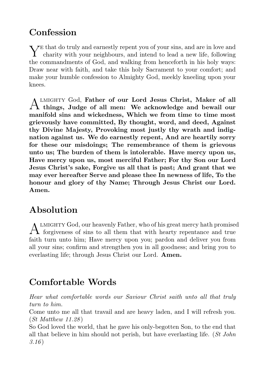## **Confession**

Y<sup>E</sup> that do truly and earnestly repent you of your sins, and are in love and charity with your neighbours, and intend to lead a new life, following charity with your neighbours, and intend to lead a new life, following the commandments of God, and walking from henceforth in his holy ways: Draw near with faith, and take this holy Sacrament to your comfort; and make your humble confession to Almighty God, meekly kneeling upon your knees.

A things, Judge of all men: We acknowledge and bewail our LMIGHTY God, Father of our Lord Jesus Christ, Maker of all manifold sins and wickedness, Which we from time to time most grievously have committed, By thought, word, and deed, Against thy Divine Majesty, Provoking most justly thy wrath and indignation against us. We do earnestly repent, And are heartily sorry for these our misdoings; The remembrance of them is grievous unto us; The burden of them is intolerable. Have mercy upon us, Have mercy upon us, most merciful Father; For thy Son our Lord Jesus Christ's sake, Forgive us all that is past; And grant that we may ever hereafter Serve and please thee In newness of life, To the honour and glory of thy Name; Through Jesus Christ our Lord. Amen.

## Absolution

A LMIGHTY God, our heavenly Father, who of his great mercy hath promise<br>forgiveness of sins to all them that with hearty repentance and true **IMIGHTY God, our heavenly Father, who of his great mercy hath promised** faith turn unto him; Have mercy upon you; pardon and deliver you from all your sins; confirm and strengthen you in all goodness; and bring you to everlasting life; through Jesus Christ our Lord. Amen.

## Comfortable Words

Hear what comfortable words our Saviour Christ saith unto all that truly turn to him.

Come unto me all that travail and are heavy laden, and I will refresh you.  $(St Mathew 11.28)$ 

So God loved the world, that he gave his only-begotten Son, to the end that all that believe in him should not perish, but have everlasting life.  $(St\ John)$  $3.16$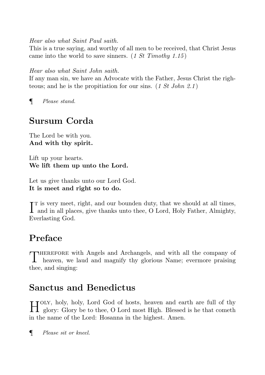Hear also what Saint Paul saith.

This is a true saying, and worthy of all men to be received, that Christ Jesus came into the world to save sinners.  $(1 St~Timothy~1.15)$ 

Hear also what Saint John saith.

If any man sin, we have an Advocate with the Father, Jesus Christ the righteous; and he is the propitiation for our sins.  $(1 St John 2.1)$ 

¶ Please stand.

## Sursum Corda

The Lord be with you. And with thy spirit.

Lift up your hearts. We lift them up unto the Lord.

Let us give thanks unto our Lord God. It is meet and right so to do.

I<sup>T</sup> is very meet, right, and our bounden duty, that we should at all times, and in all places, give thanks unto thee, O Lord, Holy Father, Almighty, **T**T is very meet, right, and our bounden duty, that we should at all times, Everlasting God.

## Preface

T herefore with Angels and Archangels, and with all the company of heaven, we laud and magnify thy glorious Name; evermore praising thee, and singing:

#### Sanctus and Benedictus

H glory: Glory be to thee, O Lord most High. Blessed is he that cometh IJOLY, holy, holy, Lord God of hosts, heaven and earth are full of thy in the name of the Lord: Hosanna in the highest. Amen.

¶ Please sit or kneel.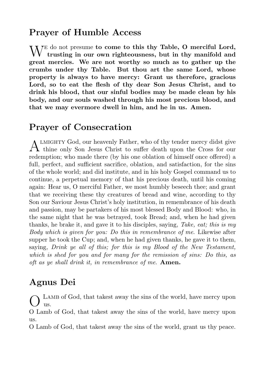#### Prayer of Humble Access

W<sup>E do not</sup> presume to come to this thy Table, O merciful Lord, trusting in our own righteousness, but in thy manifold and trusting in our own righteousness, but in thy manifold and great mercies. We are not worthy so much as to gather up the crumbs under thy Table. But thou art the same Lord, whose property is always to have mercy: Grant us therefore, gracious Lord, so to eat the flesh of thy dear Son Jesus Christ, and to drink his blood, that our sinful bodies may be made clean by his body, and our souls washed through his most precious blood, and that we may evermore dwell in him, and he in us. Amen.

#### Prayer of Consecration

A LMIGHTY God, our heavenly Father, who of thy tender mercy didst give thine only Son Jesus Christ to suffer death upon the Cross for our thine only Son Jesus Christ to suffer death upon the Cross for our redemption; who made there (by his one oblation of himself once offered) a full, perfect, and sufficient sacrifice, oblation, and satisfaction, for the sins of the whole world; and did institute, and in his holy Gospel command us to continue, a perpetual memory of that his precious death, until his coming again: Hear us, O merciful Father, we most humbly beseech thee; and grant that we receiving these thy creatures of bread and wine, according to thy Son our Saviour Jesus Christ's holy institution, in remembrance of his death and passion, may be partakers of his most blessed Body and Blood: who, in the same night that he was betrayed, took Bread; and, when he had given thanks, he brake it, and gave it to his disciples, saying, Take, eat; this is  $my$ Body which is given for you: Do this in remembrance of me. Likewise after supper he took the Cup; and, when he had given thanks, he gave it to them, saying, Drink ye all of this; for this is my Blood of the New Testament, which is shed for you and for many for the remission of sins: Do this, as oft as ye shall drink it, in remembrance of me. Amen.

#### Agnus Dei

O Lamb of God, that takest away the sins of the world, have mercy upon us.

O Lamb of God, that takest away the sins of the world, have mercy upon us.

O Lamb of God, that takest away the sins of the world, grant us thy peace.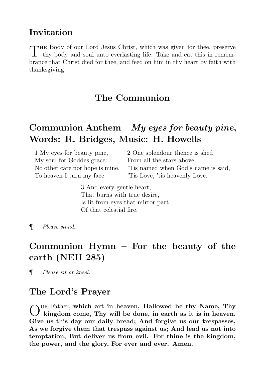#### Invitation

THE Body of our Lord Jesus Christ, which was given for thee, preserve thy body and soul unto everlasting life: Take and eat this in rememhe Body of our Lord Jesus Christ, which was given for thee, preserve brance that Christ died for thee, and feed on him in thy heart by faith with thanksgiving.

#### The Communion

#### Communion Anthem – My eyes for beauty pine, Words: R. Bridges, Music: H. Howells

| 1 My eyes for beauty pine,      | 2 One splendour thence is shed      |
|---------------------------------|-------------------------------------|
| My soul for Goddes grace:       | From all the stars above:           |
| No other care nor hope is mine, | This named when God's name is said, |
| To heaven I turn my face.       | This Love, 't is heavenly Love.     |

3 And every gentle heart, That burns with true desire, Is lit from eyes that mirror part Of that celestial fire.

¶ Please stand.

## Communion Hymn – For the beauty of the earth (NEH 285)

¶ Please sit or kneel.

#### The Lord's Prayer

OUR Father, which art in heaven, Hallowed be thy Name, Thy kingdom come, Thy will be done, in earth as it is in heaven. kingdom come, Thy will be done, in earth as it is in heaven. Give us this day our daily bread; And forgive us our trespasses, As we forgive them that trespass against us; And lead us not into temptation, But deliver us from evil. For thine is the kingdom, the power, and the glory, For ever and ever. Amen.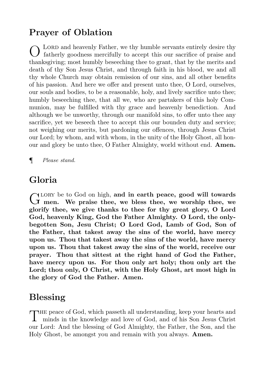## Prayer of Oblation

O LORD and heavenly Father, we thy humble servants entirely desire thy fatherly goodness mercifully to accept this our sacrifice of praise and thanksgiving; most humbly beseeching thee to grant, that by the merits and death of thy Son Jesus Christ, and through faith in his blood, we and all thy whole Church may obtain remission of our sins, and all other benefits of his passion. And here we offer and present unto thee, O Lord, ourselves, our souls and bodies, to be a reasonable, holy, and lively sacrifice unto thee; humbly beseeching thee, that all we, who are partakers of this holy Communion, may be fulfilled with thy grace and heavenly benediction. And although we be unworthy, through our manifold sins, to offer unto thee any sacrifice, yet we beseech thee to accept this our bounden duty and service; not weighing our merits, but pardoning our offences, through Jesus Christ our Lord; by whom, and with whom, in the unity of the Holy Ghost, all honour and glory be unto thee, O Father Almighty, world without end. Amen.

¶ Please stand.

#### Gloria

GLORY be to God on high, and in earth peace, good will towards<br>G men. We praise thee, we bless thee, we worship thee, we lory be to God on high, and in earth peace, good will towards glorify thee, we give thanks to thee for thy great glory, O Lord God, heavenly King, God the Father Almighty. O Lord, the onlybegotten Son, Jesu Christ; O Lord God, Lamb of God, Son of the Father, that takest away the sins of the world, have mercy upon us. Thou that takest away the sins of the world, have mercy upon us. Thou that takest away the sins of the world, receive our prayer. Thou that sittest at the right hand of God the Father, have mercy upon us. For thou only art holy; thou only art the Lord; thou only, O Christ, with the Holy Ghost, art most high in the glory of God the Father. Amen.

#### Blessing

THE peace of God, which passeth all understanding, keep your hearts and minds in the knowledge and love of God, and of his Son Jesus Christ minds in the knowledge and love of God, and of his Son Jesus Christ our Lord: And the blessing of God Almighty, the Father, the Son, and the Holy Ghost, be amongst you and remain with you always. Amen.